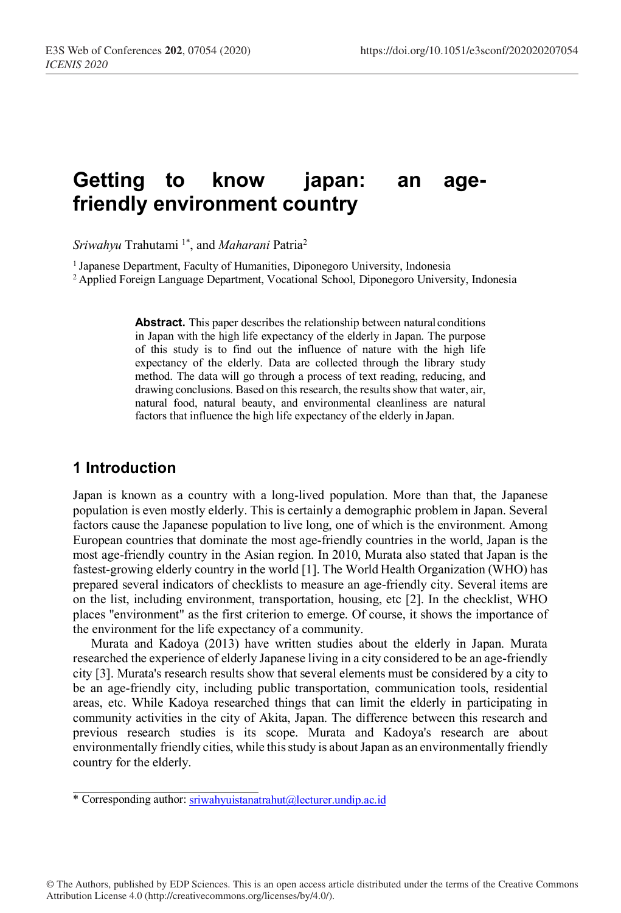# **Getting to know japan: an agefriendly environment country**

*Sriwahyu* Trahutami 1\*, and *Maharani* Patria2

1 Japanese Department, Faculty of Humanities, Diponegoro University, Indonesia

2 Applied Foreign Language Department, Vocational School, Diponegoro University, Indonesia

**Abstract.** This paper describes the relationship between natural conditions in Japan with the high life expectancy of the elderly in Japan. The purpose of this study is to find out the influence of nature with the high life expectancy of the elderly. Data are collected through the library study method. The data will go through a process of text reading, reducing, and drawing conclusions. Based on this research, the results show that water, air, natural food, natural beauty, and environmental cleanliness are natural factors that influence the high life expectancy of the elderly in Japan.

### **1 Introduction**

Japan is known as a country with a long-lived population. More than that, the Japanese population is even mostly elderly. This is certainly a demographic problem in Japan. Several factors cause the Japanese population to live long, one of which is the environment. Among European countries that dominate the most age-friendly countries in the world, Japan is the most age-friendly country in the Asian region. In 2010, Murata also stated that Japan is the fastest-growing elderly country in the world [1]. The World Health Organization (WHO) has prepared several indicators of checklists to measure an age-friendly city. Several items are on the list, including environment, transportation, housing, etc [2]. In the checklist, WHO places "environment" as the first criterion to emerge. Of course, it shows the importance of the environment for the life expectancy of a community.

Murata and Kadoya (2013) have written studies about the elderly in Japan. Murata researched the experience of elderly Japanese living in a city considered to be an age-friendly city [3]. Murata's research results show that several elements must be considered by a city to be an age-friendly city, including public transportation, communication tools, residential areas, etc. While Kadoya researched things that can limit the elderly in participating in community activities in the city of Akita, Japan. The difference between this research and previous research studies is its scope. Murata and Kadoya's research are about environmentally friendly cities, while this study is about Japan as an environmentally friendly country for the elderly.

© The Authors, published by EDP Sciences. This is an open access article distributed under the terms of the Creative Commons Attribution License 4.0 (http://creativecommons.org/licenses/by/4.0/).

<sup>\*</sup> Corresponding author: sriwahyuistanatrahut@lecturer.undip.ac.id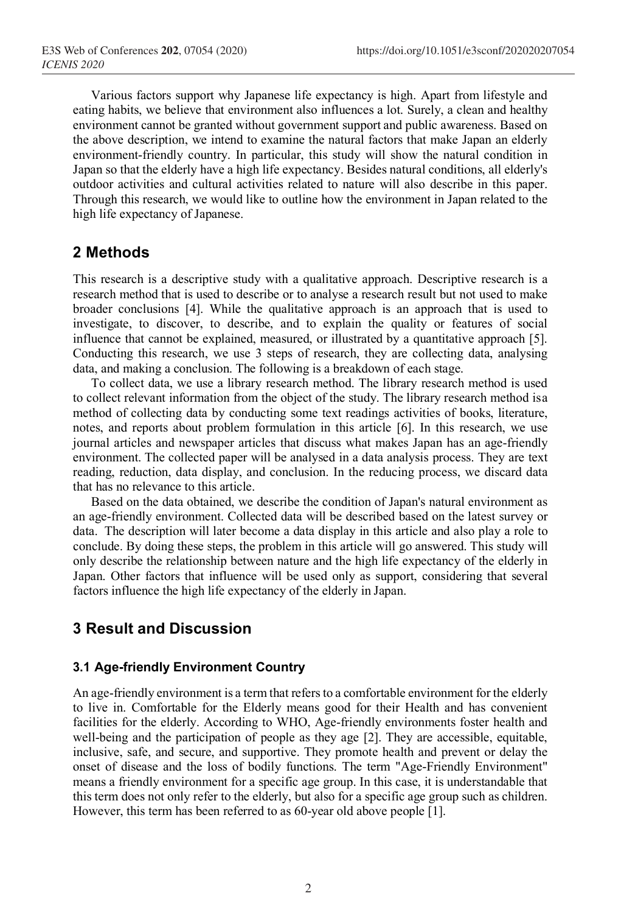Various factors support why Japanese life expectancy is high. Apart from lifestyle and eating habits, we believe that environment also influences a lot. Surely, a clean and healthy environment cannot be granted without government support and public awareness. Based on the above description, we intend to examine the natural factors that make Japan an elderly environment-friendly country. In particular, this study will show the natural condition in Japan so that the elderly have a high life expectancy. Besides natural conditions, all elderly's outdoor activities and cultural activities related to nature will also describe in this paper. Through this research, we would like to outline how the environment in Japan related to the high life expectancy of Japanese.

### **2 Methods**

This research is a descriptive study with a qualitative approach. Descriptive research is a research method that is used to describe or to analyse a research result but not used to make broader conclusions [4]. While the qualitative approach is an approach that is used to investigate, to discover, to describe, and to explain the quality or features of social influence that cannot be explained, measured, or illustrated by a quantitative approach [5]. Conducting this research, we use 3 steps of research, they are collecting data, analysing data, and making a conclusion. The following is a breakdown of each stage.

To collect data, we use a library research method. The library research method is used to collect relevant information from the object of the study. The library research method isa method of collecting data by conducting some text readings activities of books, literature, notes, and reports about problem formulation in this article [6]. In this research, we use journal articles and newspaper articles that discuss what makes Japan has an age-friendly environment. The collected paper will be analysed in a data analysis process. They are text reading, reduction, data display, and conclusion. In the reducing process, we discard data that has no relevance to this article.

Based on the data obtained, we describe the condition of Japan's natural environment as an age-friendly environment. Collected data will be described based on the latest survey or data. The description will later become a data display in this article and also play a role to conclude. By doing these steps, the problem in this article will go answered. This study will only describe the relationship between nature and the high life expectancy of the elderly in Japan. Other factors that influence will be used only as support, considering that several factors influence the high life expectancy of the elderly in Japan.

## **3 Result and Discussion**

#### **3.1 Age-friendly Environment Country**

An age-friendly environment is a term that refersto a comfortable environment for the elderly to live in. Comfortable for the Elderly means good for their Health and has convenient facilities for the elderly. According to WHO, Age-friendly environments foster health and well-being and the participation of people as they age [2]. They are accessible, equitable, inclusive, safe, and secure, and supportive. They promote health and prevent or delay the onset of disease and the loss of bodily functions. The term "Age-Friendly Environment" means a friendly environment for a specific age group. In this case, it is understandable that this term does not only refer to the elderly, but also for a specific age group such as children. However, this term has been referred to as 60-year old above people [1].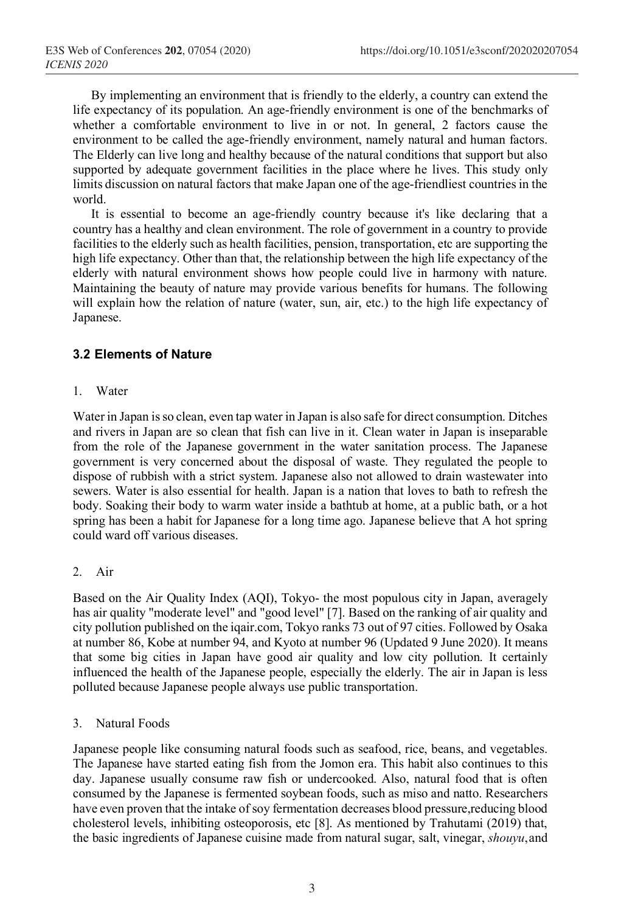By implementing an environment that is friendly to the elderly, a country can extend the life expectancy of its population. An age-friendly environment is one of the benchmarks of whether a comfortable environment to live in or not. In general, 2 factors cause the environment to be called the age-friendly environment, namely natural and human factors. The Elderly can live long and healthy because of the natural conditions that support but also supported by adequate government facilities in the place where he lives. This study only limits discussion on natural factors that make Japan one of the age-friendliest countriesin the world.

It is essential to become an age-friendly country because it's like declaring that a country has a healthy and clean environment. The role of government in a country to provide facilities to the elderly such as health facilities, pension, transportation, etc are supporting the high life expectancy. Other than that, the relationship between the high life expectancy of the elderly with natural environment shows how people could live in harmony with nature. Maintaining the beauty of nature may provide various benefits for humans. The following will explain how the relation of nature (water, sun, air, etc.) to the high life expectancy of Japanese.

#### **3.2 Elements of Nature**

1. Water

Water in Japan is so clean, even tap water in Japan is also safe for direct consumption. Ditches and rivers in Japan are so clean that fish can live in it. Clean water in Japan is inseparable from the role of the Japanese government in the water sanitation process. The Japanese government is very concerned about the disposal of waste. They regulated the people to dispose of rubbish with a strict system. Japanese also not allowed to drain wastewater into sewers. Water is also essential for health. Japan is a nation that loves to bath to refresh the body. Soaking their body to warm water inside a bathtub at home, at a public bath, or a hot spring has been a habit for Japanese for a long time ago. Japanese believe that A hot spring could ward off various diseases.

#### 2. Air

Based on the Air Quality Index (AQI), Tokyo- the most populous city in Japan, averagely has air quality "moderate level" and "good level" [7]. Based on the ranking of air quality and city pollution published on the iqair.com, Tokyo ranks 73 out of 97 cities. Followed by Osaka at number 86, Kobe at number 94, and Kyoto at number 96 (Updated 9 June 2020). It means that some big cities in Japan have good air quality and low city pollution. It certainly influenced the health of the Japanese people, especially the elderly. The air in Japan is less polluted because Japanese people always use public transportation.

3. Natural Foods

Japanese people like consuming natural foods such as seafood, rice, beans, and vegetables. The Japanese have started eating fish from the Jomon era. This habit also continues to this day. Japanese usually consume raw fish or undercooked. Also, natural food that is often consumed by the Japanese is fermented soybean foods, such as miso and natto. Researchers have even proven that the intake ofsoy fermentation decreases blood pressure,reducing blood cholesterol levels, inhibiting osteoporosis, etc [8]. As mentioned by Trahutami (2019) that, the basic ingredients of Japanese cuisine made from natural sugar, salt, vinegar, *shouyu*,and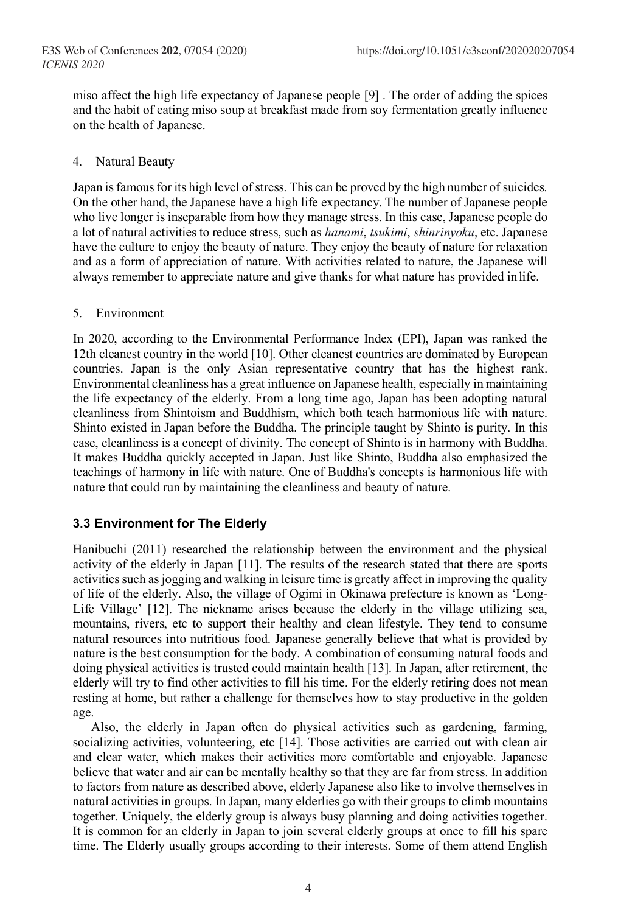miso affect the high life expectancy of Japanese people [9] . The order of adding the spices and the habit of eating miso soup at breakfast made from soy fermentation greatly influence on the health of Japanese.

#### 4. Natural Beauty

Japan is famous for its high level of stress. This can be proved by the high number of suicides. On the other hand, the Japanese have a high life expectancy. The number of Japanese people who live longer is inseparable from how they manage stress. In this case, Japanese people do a lot of natural activities to reduce stress, such as *hanami*, *tsukimi*, *shinrinyoku*, etc. Japanese have the culture to enjoy the beauty of nature. They enjoy the beauty of nature for relaxation and as a form of appreciation of nature. With activities related to nature, the Japanese will always remember to appreciate nature and give thanks for what nature has provided inlife.

#### 5. Environment

In 2020, according to the Environmental Performance Index (EPI), Japan was ranked the 12th cleanest country in the world [10]. Other cleanest countries are dominated by European countries. Japan is the only Asian representative country that has the highest rank. Environmental cleanliness has a great influence on Japanese health, especially in maintaining the life expectancy of the elderly. From a long time ago, Japan has been adopting natural cleanliness from Shintoism and Buddhism, which both teach harmonious life with nature. Shinto existed in Japan before the Buddha. The principle taught by Shinto is purity. In this case, cleanliness is a concept of divinity. The concept of Shinto is in harmony with Buddha. It makes Buddha quickly accepted in Japan. Just like Shinto, Buddha also emphasized the teachings of harmony in life with nature. One of Buddha's concepts is harmonious life with nature that could run by maintaining the cleanliness and beauty of nature.

### **3.3 Environment for The Elderly**

Hanibuchi (2011) researched the relationship between the environment and the physical activity of the elderly in Japan [11]. The results of the research stated that there are sports activities such as jogging and walking in leisure time is greatly affect in improving the quality of life of the elderly. Also, the village of Ogimi in Okinawa prefecture is known as 'Long-Life Village' [12]. The nickname arises because the elderly in the village utilizing sea, mountains, rivers, etc to support their healthy and clean lifestyle. They tend to consume natural resources into nutritious food. Japanese generally believe that what is provided by nature is the best consumption for the body. A combination of consuming natural foods and doing physical activities is trusted could maintain health [13]. In Japan, after retirement, the elderly will try to find other activities to fill his time. For the elderly retiring does not mean resting at home, but rather a challenge for themselves how to stay productive in the golden age.

Also, the elderly in Japan often do physical activities such as gardening, farming, socializing activities, volunteering, etc [14]. Those activities are carried out with clean air and clear water, which makes their activities more comfortable and enjoyable. Japanese believe that water and air can be mentally healthy so that they are far from stress. In addition to factors from nature as described above, elderly Japanese also like to involve themselves in natural activities in groups. In Japan, many elderlies go with their groups to climb mountains together. Uniquely, the elderly group is always busy planning and doing activities together. It is common for an elderly in Japan to join several elderly groups at once to fill his spare time. The Elderly usually groups according to their interests. Some of them attend English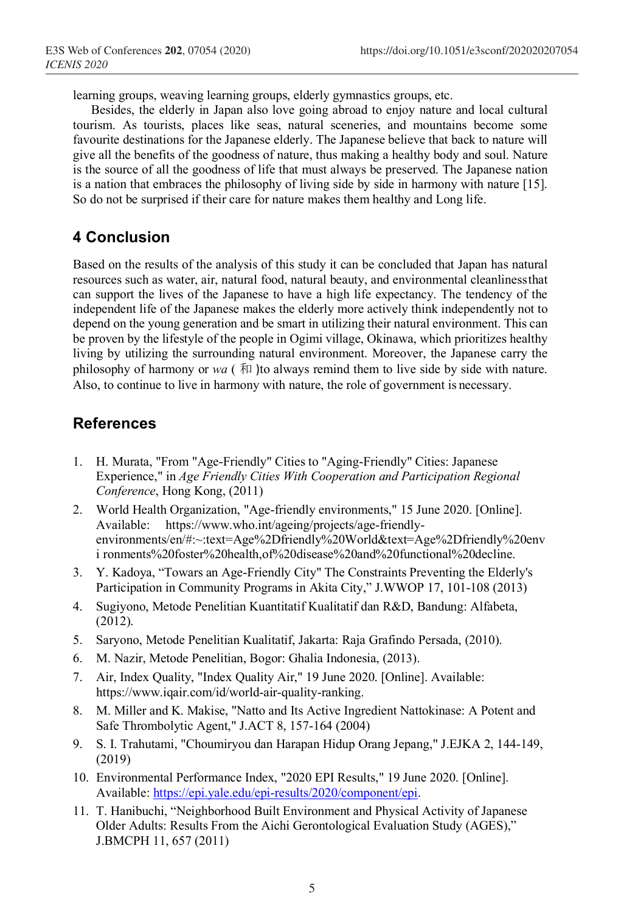learning groups, weaving learning groups, elderly gymnastics groups, etc.

Besides, the elderly in Japan also love going abroad to enjoy nature and local cultural tourism. As tourists, places like seas, natural sceneries, and mountains become some favourite destinations for the Japanese elderly. The Japanese believe that back to nature will give all the benefits of the goodness of nature, thus making a healthy body and soul. Nature is the source of all the goodness of life that must always be preserved. The Japanese nation is a nation that embraces the philosophy of living side by side in harmony with nature [15]. So do not be surprised if their care for nature makes them healthy and Long life.

# **4 Conclusion**

Based on the results of the analysis of this study it can be concluded that Japan has natural resources such as water, air, natural food, natural beauty, and environmental cleanlinessthat can support the lives of the Japanese to have a high life expectancy. The tendency of the independent life of the Japanese makes the elderly more actively think independently not to depend on the young generation and be smart in utilizing their natural environment. This can be proven by the lifestyle of the people in Ogimi village, Okinawa, which prioritizes healthy living by utilizing the surrounding natural environment. Moreover, the Japanese carry the philosophy of harmony or  $wa$  ( $\overline{A}$ ) to always remind them to live side by side with nature. Also, to continue to live in harmony with nature, the role of government is necessary.

# **References**

- 1. H. Murata, "From "Age-Friendly" Cities to "Aging-Friendly" Cities: Japanese Experience," in *Age Friendly Cities With Cooperation and Participation Regional Conference*, Hong Kong, (2011)
- 2. World Health Organization, "Age-friendly environments," 15 June 2020. [Online]. Available: https://www.who.int/ageing/projects/age-friendlyenvironments/en/#:~:text=Age%2Dfriendly%20World&text=Age%2Dfriendly%20env i ronments%20foster%20health,of%20disease%20and%20functional%20decline.
- 3. Y. Kadoya, "Towars an Age-Friendly City" The Constraints Preventing the Elderly's Participation in Community Programs in Akita City," J.WWOP 17, 101-108 (2013)
- 4. Sugiyono, Metode Penelitian Kuantitatif Kualitatif dan R&D, Bandung: Alfabeta, (2012).
- 5. Saryono, Metode Penelitian Kualitatif, Jakarta: Raja Grafindo Persada, (2010).
- 6. M. Nazir, Metode Penelitian, Bogor: Ghalia Indonesia, (2013).
- 7. Air, Index Quality, "Index Quality Air," 19 June 2020. [Online]. Available: https://www.iqair.com/id/world-air-quality-ranking.
- 8. M. Miller and K. Makise, "Natto and Its Active Ingredient Nattokinase: A Potent and Safe Thrombolytic Agent," J.ACT 8, 157-164 (2004)
- 9. S. I. Trahutami, "Choumiryou dan Harapan Hidup Orang Jepang," J.EJKA 2, 144-149, (2019)
- 10. Environmental Performance Index, "2020 EPI Results," 19 June 2020. [Online]. Available: https://epi.yale.edu/epi-results/2020/component/epi.
- 11. T. Hanibuchi, "Neighborhood Built Environment and Physical Activity of Japanese Older Adults: Results From the Aichi Gerontological Evaluation Study (AGES)," J.BMCPH 11, 657 (2011)